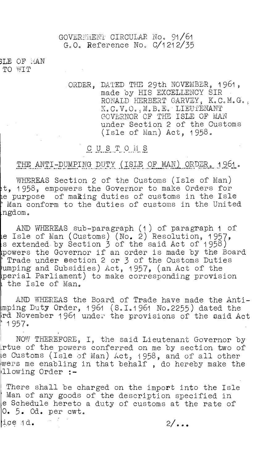GOVERENT CIRCULAR. No. 91/61 G.O. Reference No. 0/1212/35

3LE OF l'iAN TO WIT

> ORDER, DATED THE 29th NOVEMBER, 1961, made by HIS EXCELLENCY SIR RONALD HERBERT GARVEY, K.C.M.G., K.C.V.O., M.B.E. LIEUTENANT GOVERNOR OF THE ISLE OF MAN under Section 2 of the Customs (Isle of Man) Act, 1958.

## CUSTOMS

# THE ANTI-DUMPING DUTY (ISLE OF MAN) ORDER, 1961.

WHEREAS Section 2 of the Customs (Isle of Man) t, 1958, empowers the Governor to make Orders for e purpose of making duties of customs in the Isle Man conform to the duties of customs in the United ngdom.

AND WHEREAS sub-paragraph (1) of paragraph 1 of e Isle of Man (Customs) (No. 2) Resolution, 1957, s extended by Section 3 of the said Act of 1958) powers the Governor if an order is made by the Board Trade under section 2 or 3 of the Customs Duties umping and Subsidies) Act, 1957, (an Act of the perial Parliament) to make corresponding provision the Isle of Man.

AND WHEREAS the Board of Trade have made the Antimping Duty Order, 1961 (S.I.1961 No.2255) dated the rd November 1961 under the provisions of the said Act  $: 1957.$ 

NOW THEREFORE, I, the said Lieutenant Governor by rtue of the powers conferred on me by section two of e Customs (Isle of Man) Act, 1958, and of all other wers me enabling in that behalf , do hereby make the llowing Order :-

There shall be charged on the import into the Isle Man of any goods of the description specified in e Schedule hereto a duty of customs at the rate of 0. 5. Od. per cwt.

 $\mu$ d.  $\frac{2}{\cdot}$ .